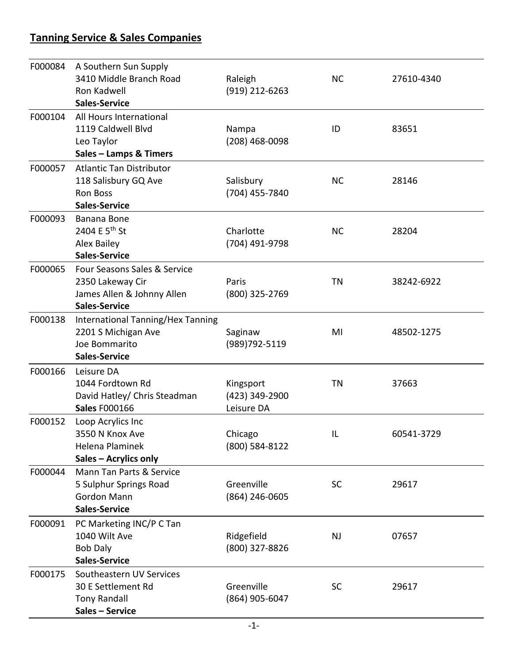## **Tanning Service & Sales Companies**

| F000084 | A Southern Sun Supply<br>3410 Middle Branch Road<br>Ron Kadwell<br><b>Sales-Service</b>                | Raleigh<br>(919) 212-6263                 | <b>NC</b> | 27610-4340 |
|---------|--------------------------------------------------------------------------------------------------------|-------------------------------------------|-----------|------------|
| F000104 | All Hours International<br>1119 Caldwell Blvd<br>Leo Taylor<br>Sales - Lamps & Timers                  | Nampa<br>(208) 468-0098                   | ID        | 83651      |
| F000057 | <b>Atlantic Tan Distributor</b><br>118 Salisbury GQ Ave<br><b>Ron Boss</b><br><b>Sales-Service</b>     | Salisbury<br>(704) 455-7840               | <b>NC</b> | 28146      |
| F000093 | Banana Bone<br>2404 E 5 <sup>th</sup> St<br><b>Alex Bailey</b><br><b>Sales-Service</b>                 | Charlotte<br>(704) 491-9798               | <b>NC</b> | 28204      |
| F000065 | Four Seasons Sales & Service<br>2350 Lakeway Cir<br>James Allen & Johnny Allen<br><b>Sales-Service</b> | Paris<br>(800) 325-2769                   | TN        | 38242-6922 |
| F000138 | International Tanning/Hex Tanning<br>2201 S Michigan Ave<br>Joe Bommarito<br><b>Sales-Service</b>      | Saginaw<br>(989) 792-5119                 | MI        | 48502-1275 |
| F000166 | Leisure DA<br>1044 Fordtown Rd<br>David Hatley/ Chris Steadman<br><b>Sales F000166</b>                 | Kingsport<br>(423) 349-2900<br>Leisure DA | <b>TN</b> | 37663      |
| F000152 | Loop Acrylics Inc<br>3550 N Knox Ave<br>Helena Plaminek<br>Sales - Acrylics only                       | Chicago<br>(800) 584-8122                 | IL        | 60541-3729 |
| F000044 | Mann Tan Parts & Service<br>5 Sulphur Springs Road<br>Gordon Mann<br><b>Sales-Service</b>              | Greenville<br>(864) 246-0605              | <b>SC</b> | 29617      |
| F000091 | PC Marketing INC/P C Tan<br>1040 Wilt Ave<br><b>Bob Daly</b><br><b>Sales-Service</b>                   | Ridgefield<br>(800) 327-8826              | <b>NJ</b> | 07657      |
| F000175 | Southeastern UV Services<br>30 E Settlement Rd<br><b>Tony Randall</b><br>Sales - Service               | Greenville<br>(864) 905-6047              | <b>SC</b> | 29617      |